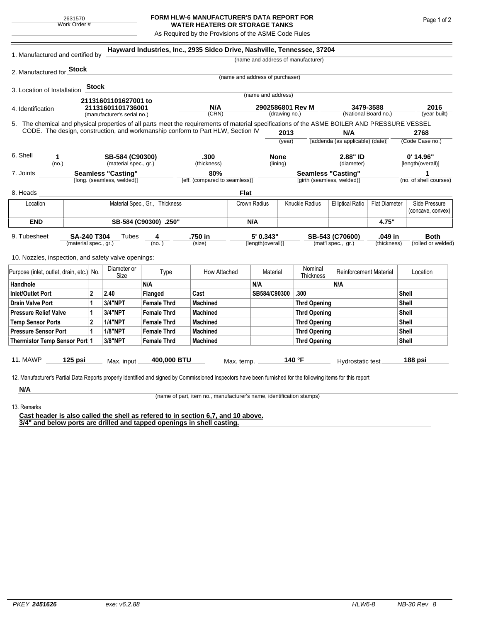## **FORM HLW-6 MANUFACTURER'S DATA REPORT FOR WATER HEATERS OR STORAGE TANKS**

As Required by the Provisions of the ASME Code Rules

|                                                                                                                                                                                                                                 |                           |                                  |                                    |                                | Hayward Industries, Inc., 2935 Sidco Drive, Nashville, Tennessee, 37204 |                                          |                    |              |                            |                                                 |                      |                         |                        |  |  |
|---------------------------------------------------------------------------------------------------------------------------------------------------------------------------------------------------------------------------------|---------------------------|----------------------------------|------------------------------------|--------------------------------|-------------------------------------------------------------------------|------------------------------------------|--------------------|--------------|----------------------------|-------------------------------------------------|----------------------|-------------------------|------------------------|--|--|
| 1. Manufactured and certified by                                                                                                                                                                                                |                           |                                  | (name and address of manufacturer) |                                |                                                                         |                                          |                    |              |                            |                                                 |                      |                         |                        |  |  |
| 2. Manufactured for <b>Stock</b>                                                                                                                                                                                                |                           |                                  |                                    |                                |                                                                         |                                          |                    |              |                            |                                                 |                      |                         |                        |  |  |
|                                                                                                                                                                                                                                 |                           |                                  |                                    |                                |                                                                         | (name and address of purchaser)          |                    |              |                            |                                                 |                      |                         |                        |  |  |
| 3. Location of Installation                                                                                                                                                                                                     |                           | <b>Stock</b>                     |                                    |                                |                                                                         |                                          |                    |              |                            |                                                 |                      |                         |                        |  |  |
|                                                                                                                                                                                                                                 |                           |                                  | 21131601101627001 to               |                                |                                                                         |                                          | (name and address) |              |                            |                                                 |                      |                         |                        |  |  |
| 4. Identification                                                                                                                                                                                                               |                           |                                  | 21131601101736001                  |                                | N/A                                                                     |                                          | 2902586801 Rev M   |              |                            | 3479-3588                                       |                      | 2016                    |                        |  |  |
|                                                                                                                                                                                                                                 |                           |                                  | (manufacturer's serial no.)        |                                | (CRN)                                                                   | (drawing no.)                            |                    |              |                            |                                                 | (National Board no.) |                         | (year built)           |  |  |
| 5. The chemical and physical properties of all parts meet the requirements of material specifications of the ASME BOILER AND PRESSURE VESSEL<br>CODE. The design, construction, and workmanship conform to Part HLW, Section IV |                           |                                  |                                    |                                |                                                                         |                                          |                    |              |                            |                                                 |                      |                         |                        |  |  |
|                                                                                                                                                                                                                                 |                           |                                  |                                    |                                |                                                                         |                                          | 2013               |              |                            | N/A<br>[addenda (as applicable) (date)]         |                      | 2768<br>(Code Case no.) |                        |  |  |
|                                                                                                                                                                                                                                 |                           |                                  |                                    |                                |                                                                         |                                          |                    | (year)       |                            |                                                 |                      |                         |                        |  |  |
| 6. Shell<br>1                                                                                                                                                                                                                   |                           |                                  | SB-584 (C90300)                    |                                | .300                                                                    |                                          |                    | <b>None</b>  |                            | 2.88" ID                                        |                      | $0'$ 14.96"             |                        |  |  |
| (no.)                                                                                                                                                                                                                           |                           |                                  | (material spec., gr.)              |                                | (thickness)                                                             | (lining)                                 |                    |              |                            | (diameter)                                      |                      | [length(overall)]       |                        |  |  |
| 7. Joints                                                                                                                                                                                                                       | <b>Seamless "Casting"</b> |                                  |                                    |                                |                                                                         |                                          |                    |              | <b>Seamless "Casting"</b>  |                                                 | 1                    |                         |                        |  |  |
| [long. (seamless, welded)]                                                                                                                                                                                                      |                           |                                  |                                    |                                | [eff. (compared to seamless)]                                           |                                          |                    |              | [girth (seamless, welded)] |                                                 |                      |                         | (no. of shell courses) |  |  |
| 8. Heads                                                                                                                                                                                                                        |                           |                                  |                                    |                                |                                                                         | <b>Flat</b>                              |                    |              |                            |                                                 |                      |                         |                        |  |  |
| Location                                                                                                                                                                                                                        |                           |                                  |                                    | Material Spec., Gr., Thickness |                                                                         |                                          | Crown Radius       |              | Knuckle Radius             | <b>Elliptical Ratio</b><br><b>Flat Diameter</b> |                      | Side Pressure           |                        |  |  |
|                                                                                                                                                                                                                                 |                           |                                  |                                    |                                |                                                                         |                                          |                    |              |                            |                                                 |                      | (concave, convex)       |                        |  |  |
| <b>END</b>                                                                                                                                                                                                                      | SB-584 (C90300) .250"     |                                  |                                    |                                |                                                                         | N/A                                      |                    |              |                            |                                                 | 4.75"                |                         |                        |  |  |
| 9. Tubesheet                                                                                                                                                                                                                    |                           | <b>SA-240 T304</b><br>Tubes<br>4 |                                    |                                | .750 in                                                                 | 5' 0.343"<br>(size)<br>[length(overall)] |                    |              |                            | SB-543 (C70600)                                 | .049 in              |                         | <b>Both</b>            |  |  |
| (material spec., gr.)                                                                                                                                                                                                           |                           |                                  | (no.)                              |                                |                                                                         |                                          |                    |              |                            | (mat'l spec., gr.)<br>(thickness)               |                      |                         | (rolled or welded)     |  |  |
| 10. Nozzles, inspection, and safety valve openings:                                                                                                                                                                             |                           |                                  |                                    |                                |                                                                         |                                          |                    |              |                            |                                                 |                      |                         |                        |  |  |
|                                                                                                                                                                                                                                 |                           |                                  | Diameter or                        |                                |                                                                         |                                          |                    |              | Nominal                    |                                                 |                      |                         |                        |  |  |
| Purpose (inlet, outlet, drain, etc.) No.                                                                                                                                                                                        |                           |                                  | Type<br>Size                       |                                | How Attached                                                            |                                          | Material           |              | Thickness                  | <b>Reinforcement Material</b>                   |                      |                         | Location               |  |  |
| Handhole                                                                                                                                                                                                                        |                           |                                  |                                    | N/A                            |                                                                         |                                          | N/A                |              |                            | N/A                                             |                      |                         |                        |  |  |
| <b>Inlet/Outlet Port</b>                                                                                                                                                                                                        |                           | $\mathbf{2}$                     | 2.40                               | <b>Flanged</b>                 | Cast                                                                    |                                          | SB584/C90300       |              | .300                       |                                                 |                      | Shell                   |                        |  |  |
| <b>Drain Valve Port</b>                                                                                                                                                                                                         |                           | 1                                | 3/4"NPT                            | <b>Female Thrd</b>             | <b>Machined</b>                                                         |                                          |                    |              | <b>Thrd Opening</b>        |                                                 |                      | Shell                   |                        |  |  |
| <b>Pressure Relief Valve</b>                                                                                                                                                                                                    |                           | 1                                | 3/4"NPT                            | <b>Female Thrd</b>             | <b>Machined</b>                                                         |                                          |                    |              | <b>Thrd Opening</b>        |                                                 | <b>Shell</b>         |                         |                        |  |  |
| <b>Temp Sensor Ports</b>                                                                                                                                                                                                        |                           | $\overline{2}$                   | <b>1/4"NPT</b>                     | <b>Female Thrd</b>             | <b>Machined</b>                                                         |                                          |                    |              | <b>Thrd Opening</b>        |                                                 | Shell                |                         |                        |  |  |
| <b>Pressure Sensor Port</b>                                                                                                                                                                                                     |                           | 1                                | <b>1/8"NPT</b>                     | <b>Female Thrd</b>             | <b>Machined</b>                                                         |                                          |                    | Thrd Opening |                            |                                                 |                      | Shell                   |                        |  |  |
| Thermistor Temp Sensor Port 1                                                                                                                                                                                                   |                           |                                  | 3/8"NPT                            | <b>Female Thrd</b>             | <b>Machined</b>                                                         |                                          |                    |              | <b>Thrd Opening</b>        |                                                 |                      | Shell                   |                        |  |  |
|                                                                                                                                                                                                                                 |                           |                                  |                                    |                                |                                                                         |                                          |                    |              |                            |                                                 |                      |                         |                        |  |  |
| <b>11. MAWP</b><br>$125$ psi                                                                                                                                                                                                    |                           |                                  | 400,000 BTU<br>Max. input          |                                |                                                                         | Max. temp.                               |                    | 140 °F       |                            | Hydrostatic test                                |                      | 188 psi                 |                        |  |  |
|                                                                                                                                                                                                                                 |                           |                                  |                                    |                                |                                                                         |                                          |                    |              |                            |                                                 |                      |                         |                        |  |  |
| 12. Manufacturer's Partial Data Reports properly identified and signed by Commissioned Inspectors have been furnished for the following items for this report                                                                   |                           |                                  |                                    |                                |                                                                         |                                          |                    |              |                            |                                                 |                      |                         |                        |  |  |
| N/A                                                                                                                                                                                                                             |                           |                                  |                                    |                                |                                                                         |                                          |                    |              |                            |                                                 |                      |                         |                        |  |  |

13. Remarks

(name of part, item no., manufacturer's name, identification stamps)

**Cast header is also called the shell as refered to in section 6,7, and 10 above. 3/4" and below ports are drilled and tapped openings in shell casting.**